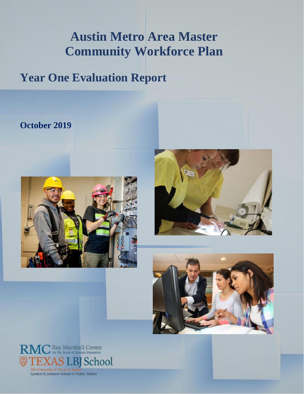# **Austin Metro Area Master Community Workforce Plan**

# **Year One Evaluation Report**

# **October 2019**







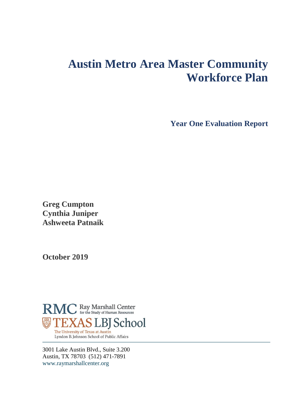# **Austin Metro Area Master Community Workforce Plan**

**Year One Evaluation Report**

**Greg Cumpton Cynthia Juniper Ashweeta Patnaik**

**October 2019**



3001 Lake Austin Blvd., Suite 3.200 Austin, TX 78703 (512) 471-7891 [www.raymarshallcenter.org](http://www.raymarshallcenter.org/)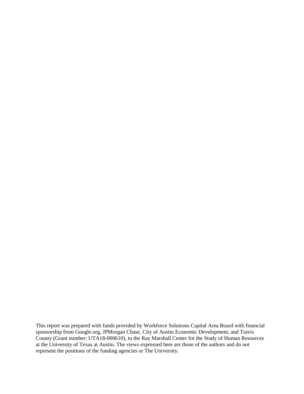This report was prepared with funds provided by Workforce Solutions Capital Area Board with financial sponsorship from Google.org, JPMorgan Chase, City of Austin Economic Development, and Travis County (Grant number: UTA18-000610), to the Ray Marshall Center for the Study of Human Resources at the University of Texas at Austin. The views expressed here are those of the authors and do not represent the positions of the funding agencies or The University.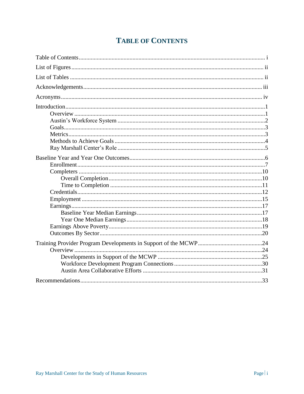# **TABLE OF CONTENTS**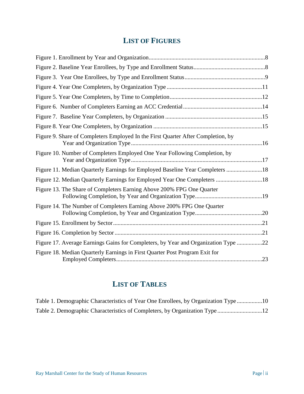# **LIST OF FIGURES**

| Figure 9. Share of Completers Employed In the First Quarter After Completion, by   |  |
|------------------------------------------------------------------------------------|--|
| Figure 10. Number of Completers Employed One Year Following Completion, by         |  |
| Figure 11. Median Quarterly Earnings for Employed Baseline Year Completers 18      |  |
|                                                                                    |  |
| Figure 13. The Share of Completers Earning Above 200% FPG One Quarter              |  |
| Figure 14. The Number of Completers Earning Above 200% FPG One Quarter             |  |
|                                                                                    |  |
|                                                                                    |  |
| Figure 17. Average Earnings Gains for Completers, by Year and Organization Type 22 |  |
| Figure 18. Median Quarterly Earnings in First Quarter Post Program Exit for        |  |

# **LIST OF TABLES**

| Table 1. Demographic Characteristics of Year One Enrollees, by Organization Type 10 |  |
|-------------------------------------------------------------------------------------|--|
| Table 2. Demographic Characteristics of Completers, by Organization Type 12         |  |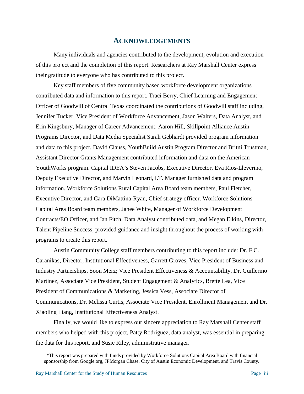#### **ACKNOWLEDGEMENTS**

Many individuals and agencies contributed to the development, evolution and execution of this project and the completion of this report. Researchers at Ray Marshall Center express their gratitude to everyone who has contributed to this project.

Key staff members of five community based workforce development organizations contributed data and information to this report. Traci Berry, Chief Learning and Engagement Officer of Goodwill of Central Texas coordinated the contributions of Goodwill staff including, Jennifer Tucker, Vice President of Workforce Advancement, Jason Walters, Data Analyst, and Erin Kingsbury, Manager of Career Advancement. Aaron Hill, Skillpoint Alliance Austin Programs Director, and Data Media Specialist Sarah Gebhardt provided program information and data to this project. David Clauss, YouthBuild Austin Program Director and Britni Trustman, Assistant Director Grants Management contributed information and data on the American YouthWorks program. Capital IDEA's Steven Jacobs, Executive Director, Eva Rios-Lleverino, Deputy Executive Director, and Marvin Leonard, I.T. Manager furnished data and program information. Workforce Solutions Rural Capital Area Board team members, Paul Fletcher, Executive Director, and Cara DiMattina-Ryan, Chief strategy officer. Workforce Solutions Capital Area Board team members, Janee White, Manager of Workforce Development Contracts/EO Officer, and Ian Fitch, Data Analyst contributed data, and Megan Elkins, Director, Talent Pipeline Success, provided guidance and insight throughout the process of working with programs to create this report.

Austin Community College staff members contributing to this report include: Dr. F.C. Caranikas, Director, Institutional Effectiveness, Garrett Groves, Vice President of Business and Industry Partnerships, Soon Merz; Vice President Effectiveness & Accountability, Dr. Guillermo Martinez, Associate Vice President, Student Engagement & Analytics, Brette Lea, Vice President of Communications & Marketing, Jessica Vess, Associate Director of Communications, Dr. Melissa Curtis, Associate Vice President, Enrollment Management and Dr. Xiaoling Liang, Institutional Effectiveness Analyst.

Finally, we would like to express our sincere appreciation to Ray Marshall Center staff members who helped with this project, Patty Rodriguez, data analyst, was essential in preparing the data for this report, and Susie Riley, administrative manager.

<sup>\*</sup>This report was prepared with funds provided by Workforce Solutions Capital Area Board with financial sponsorship from Google.org, JPMorgan Chase, City of Austin Economic Development, and Travis County.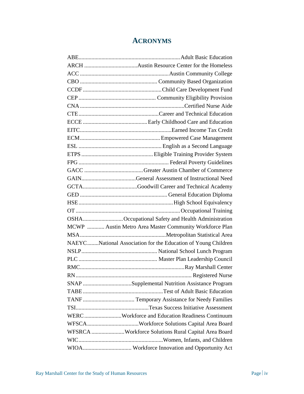# **ACRONYMS**

| OSHAOccupational Safety and Health Administration             |
|---------------------------------------------------------------|
| MCWP  Austin Metro Area Master Community Workforce Plan       |
|                                                               |
| NAEYCNational Association for the Education of Young Children |
|                                                               |
|                                                               |
|                                                               |
|                                                               |
| SNAP Supplemental Nutrition Assistance Program                |
|                                                               |
|                                                               |
|                                                               |
| WERC Workforce and Education Readiness Continuum              |
|                                                               |
| WFSRCA Workforce Solutions Rural Capital Area Board           |
|                                                               |
|                                                               |
|                                                               |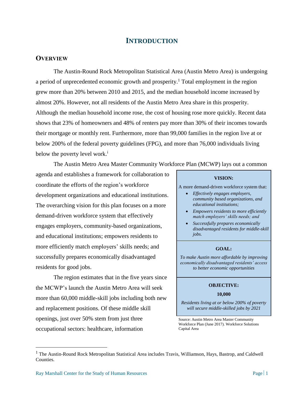## **INTRODUCTION**

#### **OVERVIEW**

The Austin-Round Rock Metropolitan Statistical Area (Austin Metro Area) is undergoing a period of unprecedented economic growth and prosperity.<sup>1</sup> Total employment in the region grew more than 20% between 2010 and 2015, and the median household income increased by almost 20%. However, not all residents of the Austin Metro Area share in this prosperity. Although the median household income rose, the cost of housing rose more quickly. Recent data shows that 23% of homeowners and 48% of renters pay more than 30% of their incomes towards their mortgage or monthly rent. Furthermore, more than 99,000 families in the region live at or below 200% of the federal poverty guidelines (FPG), and more than 76,000 individuals living below the poverty level work.<sup>i</sup>

The Austin Metro Area Master Community Workforce Plan (MCWP) lays out a common

agenda and establishes a framework for collaboration to coordinate the efforts of the region's workforce development organizations and educational institutions. The overarching vision for this plan focuses on a more demand-driven workforce system that effectively engages employers, community-based organizations, and educational institutions; empowers residents to more efficiently match employers' skills needs; and successfully prepares economically disadvantaged residents for good jobs.

The region estimates that in the five years since the MCWP's launch the Austin Metro Area will seek more than 60,000 middle-skill jobs including both new and replacement positions. Of these middle skill openings, just over 50% stem from just three occupational sectors: healthcare, information

#### **VISION:**

A more demand-driven workforce system that:

- *Effectively engages employers, community based organizations, and educational institutions;*
- *Empowers residents to more efficiently match employers' skills needs; and*
- *Successfully prepares economically disadvantaged residents for middle-skill jobs.*

#### **GOAL:**

*To make Austin more affordable by improving economically disadvantaged residents' access to better economic opportunities*

#### **OBJECTIVE:**

#### **10,000**

*Residents living at or below 200% of poverty will secure middle-skilled jobs by 2021*

Source: Austin Metro Area Master Community Workforce Plan (June 2017). Workforce Solutions Capital Area

 $\overline{a}$ 

<sup>&</sup>lt;sup>1</sup> The Austin-Round Rock Metropolitan Statistical Area includes Travis, Williamson, Hays, Bastrop, and Caldwell Counties.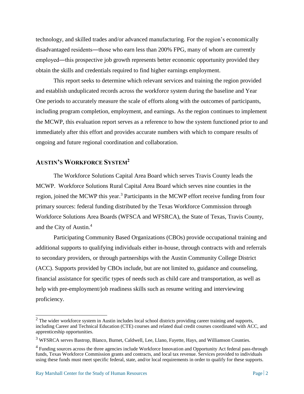technology, and skilled trades and/or advanced manufacturing. For the region's economically disadvantaged residents―those who earn less than 200% FPG, many of whom are currently employed—this prospective job growth represents better economic opportunity provided they obtain the skills and credentials required to find higher earnings employment.

This report seeks to determine which relevant services and training the region provided and establish unduplicated records across the workforce system during the baseline and Year One periods to accurately measure the scale of efforts along with the outcomes of participants, including program completion, employment, and earnings. As the region continues to implement the MCWP, this evaluation report serves as a reference to how the system functioned prior to and immediately after this effort and provides accurate numbers with which to compare results of ongoing and future regional coordination and collaboration.

# **AUSTIN'S WORKFORCE SYSTEM<sup>2</sup>**

The Workforce Solutions Capital Area Board which serves Travis County leads the MCWP. Workforce Solutions Rural Capital Area Board which serves nine counties in the region, joined the MCWP this year.<sup>3</sup> Participants in the MCWP effort receive funding from four primary sources: federal funding distributed by the Texas Workforce Commission through Workforce Solutions Area Boards (WFSCA and WFSRCA), the State of Texas, Travis County, and the City of Austin.<sup>4</sup>

Participating Community Based Organizations (CBOs) provide occupational training and additional supports to qualifying individuals either in-house, through contracts with and referrals to secondary providers, or through partnerships with the Austin Community College District (ACC). Supports provided by CBOs include, but are not limited to, guidance and counseling, financial assistance for specific types of needs such as child care and transportation, as well as help with pre-employment/job readiness skills such as resume writing and interviewing proficiency.

 $2$  The wider workforce system in Austin includes local school districts providing career training and supports, including Career and Technical Education (CTE) courses and related dual credit courses coordinated with ACC, and apprenticeship opportunities.

<sup>3</sup> WFSRCA serves Bastrop, Blanco, Burnet, Caldwell, Lee, Llano, Fayette, Hays, and Williamson Counties.

<sup>&</sup>lt;sup>4</sup> Funding sources across the three agencies include Workforce Innovation and Opportunity Act federal pass-through funds, Texas Workforce Commission grants and contracts, and local tax revenue. Services provided to individuals using these funds must meet specific federal, state, and/or local requirements in order to qualify for these supports.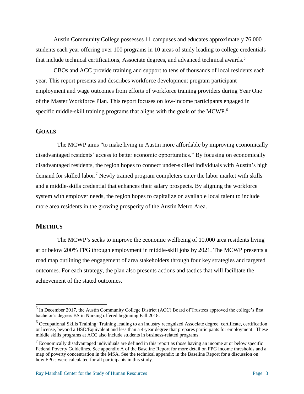Austin Community College possesses 11 campuses and educates approximately 76,000 students each year offering over 100 programs in 10 areas of study leading to college credentials that include technical certifications, Associate degrees, and advanced technical awards.<sup>5</sup>

CBOs and ACC provide training and support to tens of thousands of local residents each year. This report presents and describes workforce development program participant employment and wage outcomes from efforts of workforce training providers during Year One of the Master Workforce Plan. This report focuses on low-income participants engaged in specific middle-skill training programs that aligns with the goals of the MCWP.<sup>6</sup>

#### **GOALS**

The MCWP aims "to make living in Austin more affordable by improving economically disadvantaged residents' access to better economic opportunities." By focusing on economically disadvantaged residents, the region hopes to connect under-skilled individuals with Austin's high demand for skilled labor.<sup>7</sup> Newly trained program completers enter the labor market with skills and a middle-skills credential that enhances their salary prospects. By aligning the workforce system with employer needs, the region hopes to capitalize on available local talent to include more area residents in the growing prosperity of the Austin Metro Area.

#### **METRICS**

The MCWP's seeks to improve the economic wellbeing of 10,000 area residents living at or below 200% FPG through employment in middle-skill jobs by 2021. The MCWP presents a road map outlining the engagement of area stakeholders through four key strategies and targeted outcomes. For each strategy, the plan also presents actions and tactics that will facilitate the achievement of the stated outcomes.

<sup>&</sup>lt;sup>5</sup> In December 2017, the Austin Community College District (ACC) Board of Trustees approved the college's first bachelor's degree: BS in Nursing offered beginning Fall 2018.

<sup>6</sup> Occupational Skills Training: Training leading to an industry recognized Associate degree, certificate, certification or license, beyond a HSD/Equivalent and less than a 4-year degree that prepares participants for employment. These middle skills programs at ACC also include students in business-related programs.

 $<sup>7</sup>$  Economically disadvantaged individuals are defined in this report as those having an income at or below specific</sup> Federal Poverty Guidelines. See appendix A of the Baseline Report for more detail on FPG income thresholds and a map of poverty concentration in the MSA. See the technical appendix in the Baseline Report for a discussion on how FPGs were calculated for all participants in this study.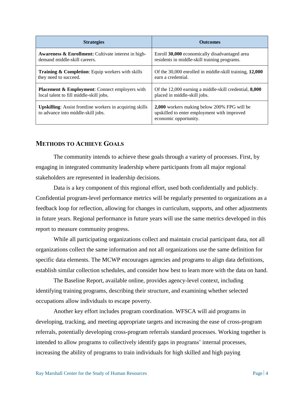| <b>Strategies</b>                                                                                     | <b>Outcomes</b>                                                                                                     |  |  |
|-------------------------------------------------------------------------------------------------------|---------------------------------------------------------------------------------------------------------------------|--|--|
| <b>Awareness &amp; Enrollment:</b> Cultivate interest in high-                                        | Enroll 30,000 economically disadvantaged area                                                                       |  |  |
| demand middle-skill careers.                                                                          | residents in middle-skill training programs.                                                                        |  |  |
| <b>Training &amp; Completion:</b> Equip workers with skills                                           | Of the 30,000 enrolled in middle-skill training, 12,000                                                             |  |  |
| they need to succeed.                                                                                 | earn a credential.                                                                                                  |  |  |
| <b>Placement &amp; Employment:</b> Connect employers with                                             | Of the 12,000 earning a middle-skill credential, <b>8,000</b>                                                       |  |  |
| local talent to fill middle-skill jobs.                                                               | placed in middle-skill jobs.                                                                                        |  |  |
| <b>Upskilling:</b> Assist frontline workers in acquiring skills<br>to advance into middle-skill jobs. | 2,000 workers making below 200% FPG will be<br>upskilled to enter employment with improved<br>economic opportunity. |  |  |

#### **METHODS TO ACHIEVE GOALS**

The community intends to achieve these goals through a variety of processes. First, by engaging in integrated community leadership where participants from all major regional stakeholders are represented in leadership decisions.

Data is a key component of this regional effort, used both confidentially and publicly. Confidential program-level performance metrics will be regularly presented to organizations as a feedback loop for reflection, allowing for changes in curriculum, supports, and other adjustments in future years. Regional performance in future years will use the same metrics developed in this report to measure community progress.

While all participating organizations collect and maintain crucial participant data, not all organizations collect the same information and not all organizations use the same definition for specific data elements. The MCWP encourages agencies and programs to align data definitions, establish similar collection schedules, and consider how best to learn more with the data on hand.

The Baseline Report, available online, provides agency-level context, including identifying training programs, describing their structure, and examining whether selected occupations allow individuals to escape poverty.

Another key effort includes program coordination. WFSCA will aid programs in developing, tracking, and meeting appropriate targets and increasing the ease of cross-program referrals, potentially developing cross-program referrals standard processes. Working together is intended to allow programs to collectively identify gaps in programs' internal processes, increasing the ability of programs to train individuals for high skilled and high paying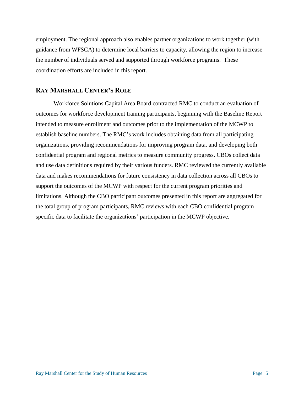employment. The regional approach also enables partner organizations to work together (with guidance from WFSCA) to determine local barriers to capacity, allowing the region to increase the number of individuals served and supported through workforce programs. These coordination efforts are included in this report.

#### **RAY MARSHALL CENTER'S ROLE**

Workforce Solutions Capital Area Board contracted RMC to conduct an evaluation of outcomes for workforce development training participants, beginning with the Baseline Report intended to measure enrollment and outcomes prior to the implementation of the MCWP to establish baseline numbers. The RMC's work includes obtaining data from all participating organizations, providing recommendations for improving program data, and developing both confidential program and regional metrics to measure community progress. CBOs collect data and use data definitions required by their various funders. RMC reviewed the currently available data and makes recommendations for future consistency in data collection across all CBOs to support the outcomes of the MCWP with respect for the current program priorities and limitations. Although the CBO participant outcomes presented in this report are aggregated for the total group of program participants, RMC reviews with each CBO confidential program specific data to facilitate the organizations' participation in the MCWP objective.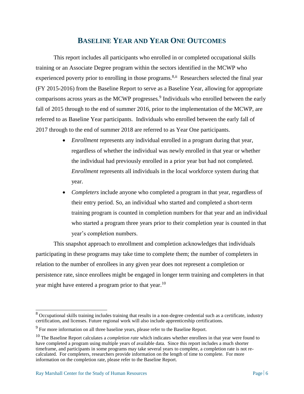# **BASELINE YEAR AND YEAR ONE OUTCOMES**

This report includes all participants who enrolled in or completed occupational skills training or an Associate Degree program within the sectors identified in the MCWP who experienced poverty prior to enrolling in those programs.<sup>8,ii</sup> Researchers selected the final year (FY 2015-2016) from the Baseline Report to serve as a Baseline Year, allowing for appropriate comparisons across years as the MCWP progresses. $9$  Individuals who enrolled between the early fall of 2015 through to the end of summer 2016, prior to the implementation of the MCWP, are referred to as Baseline Year participants. Individuals who enrolled between the early fall of 2017 through to the end of summer 2018 are referred to as Year One participants.

- *Enrollment* represents any individual enrolled in a program during that year, regardless of whether the individual was newly enrolled in that year or whether the individual had previously enrolled in a prior year but had not completed. *Enrollment* represents all individuals in the local workforce system during that year.
- *Completers* include anyone who completed a program in that year, regardless of their entry period. So, an individual who started and completed a short-term training program is counted in completion numbers for that year and an individual who started a program three years prior to their completion year is counted in that year's completion numbers.

This snapshot approach to enrollment and completion acknowledges that individuals participating in these programs may take time to complete them; the number of completers in relation to the number of enrollees in any given year does not represent a completion or persistence rate, since enrollees might be engaged in longer term training and completers in that year might have entered a program prior to that year.<sup>10</sup>

 $\overline{a}$ 

<sup>&</sup>lt;sup>8</sup> Occupational skills training includes training that results in a non-degree credential such as a certificate, industry certification, and licenses. Future regional work will also include apprenticeship certifications.

 $9^9$  For more information on all three baseline years, please refer to the Baseline Report.

<sup>10</sup> The Baseline Report calculates a *completion rate* which indicates whether enrollees in that year were found to have completed a program using multiple years of available data. Since this report includes a much shorter timeframe, and participants in some programs may take several years to complete, a completion rate is not recalculated. For completers, researchers provide information on the length of time to complete. For more information on the completion rate, please refer to the Baseline Report.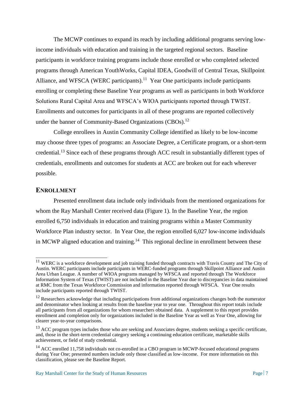<span id="page-14-0"></span>The MCWP continues to expand its reach by including additional programs serving lowincome individuals with education and training in the targeted regional sectors. Baseline participants in workforce training programs include those enrolled or who completed selected programs through American YouthWorks, Capital IDEA, Goodwill of Central Texas, Skillpoint Alliance, and WFSCA (WERC participants).<sup>11</sup> Year One participants include participants enrolling or completing these Baseline Year programs as well as participants in both Workforce Solutions Rural Capital Area and WFSCA's WIOA participants reported through TWIST. Enrollments and outcomes for participants in all of these programs are reported collectively under the banner of Community-Based Organizations (CBOs).<sup>12</sup>

College enrollees in Austin Community College identified as likely to be low-income may choose three types of programs: an Associate Degree, a Certificate program, or a short-term credential.<sup>13</sup> Since each of these programs through ACC result in substantially different types of credentials, enrollments and outcomes for students at ACC are broken out for each wherever possible.

#### **ENROLLMENT**

Presented enrollment data include only individuals from the mentioned organizations for whom the Ray Marshall Center received data (Figure 1). In the Baseline Year, the region enrolled 6,750 individuals in education and training programs within a Master Community Workforce Plan industry sector. In Year One, the region enrolled 6,027 low-income individuals in MCWP aligned education and training.<sup>14</sup> This regional decline in enrollment between these

 $11$  WERC is a workforce development and job training funded through contracts with Travis County and The City of Austin. WERC participants include participants in WERC-funded programs through Skillpoint Alliance and Austin Area Urban League. A number of WIOA programs managed by WFSCA and reported through The Workforce Information System of Texas (TWIST) are not included in the Baseline Year due to discrepancies in data maintained at RMC from the Texas Workforce Commission and information reported through WFSCA. Year One results include participants reported through TWIST.

 $12$  Researchers acknowledge that including participations from additional organizations changes both the numerator and denominator when looking at results from the baseline year to year one. Throughout this report totals include all participants from all organizations for whom researchers obtained data. A supplement to this report provides enrollment and completion only for organizations included in the Baseline Year as well as Year One, allowing for clearer year-to-year comparisons.

<sup>&</sup>lt;sup>13</sup> ACC program types includes those who are seeking and Associates degree, students seeking a specific certificate, and, those in the short-term credential category seeking a continuing education certificate, marketable skills achievement, or field of study credential.

<sup>&</sup>lt;sup>14</sup> ACC enrolled 11,758 individuals not co-enrolled in a CBO program in MCWP-focused educational programs during Year One; presented numbers include only those classified as low-income. For more information on this classification, please see the Baseline Report.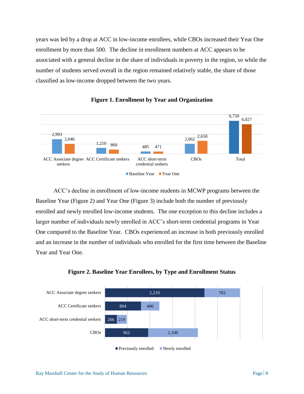<span id="page-15-1"></span>years was led by a drop at ACC in low-income enrollees, while CBOs increased their Year One enrollment by more than 500. The decline in enrollment numbers at ACC appears to be associated with a general decline in the share of individuals in poverty in the region, so while the number of students served overall in the region remained relatively stable, the share of those classified as low-income dropped between the two years.



**Figure 1. Enrollment by Year and Organization**

ACC's decline in enrollment of low-income students in MCWP programs between the Baseline Year (Figure 2) and Year One (Figure 3) include both the number of previously enrolled and newly enrolled low-income students. The one exception to this decline includes a larger number of individuals newly enrolled in ACC's short-term credential programs in Year One compared to the Baseline Year. CBOs experienced an increase in both previously enrolled and an increase in the number of individuals who enrolled for the first time between the Baseline Year and Year One.

<span id="page-15-0"></span>

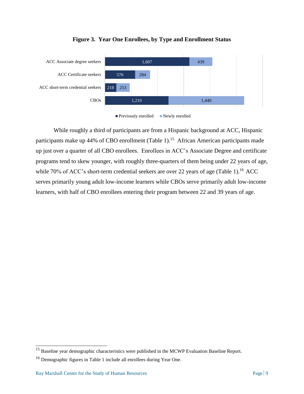

#### **Figure 3. Year One Enrollees, by Type and Enrollment Status**



While roughly a third of participants are from a Hispanic background at ACC, Hispanic participants make up 44% of CBO enrollment (Table 1).<sup>15</sup> African American participants made up just over a quarter of all CBO enrollees. Enrollees in ACC's Associate Degree and certificate programs tend to skew younger, with roughly three-quarters of them being under 22 years of age, while 70% of ACC's short-term credential seekers are over 22 years of age (Table 1).<sup>16</sup> ACC serves primarily young adult low-income learners while CBOs serve primarily adult low-income learners, with half of CBO enrollees entering their program between 22 and 39 years of age.

<sup>&</sup>lt;sup>15</sup> Baseline year demographic characteristics were published in the MCWP Evaluation Baseline Report.

<sup>16</sup> Demographic figures in Table 1 include all enrollees during Year One.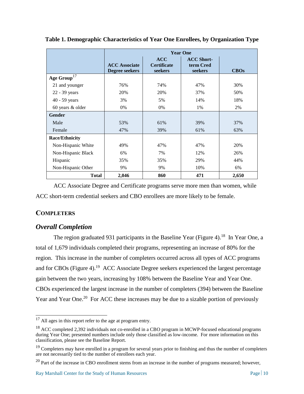|                       | <b>Year One</b>                        |                                      |                                           |             |
|-----------------------|----------------------------------------|--------------------------------------|-------------------------------------------|-------------|
|                       | <b>ACC</b> Associate<br>Degree seekers | ACC<br><b>Certificate</b><br>seekers | <b>ACC Short-</b><br>term Cred<br>seekers | <b>CBOs</b> |
| Age $Group17$         |                                        |                                      |                                           |             |
| 21 and younger        | 76%                                    | 74%                                  | 47%                                       | 30%         |
| 22 - 39 years         | 20%                                    | 20%                                  | 37%                                       | 50%         |
| $40 - 59$ years       | 3%                                     | 5%                                   | 14%                                       | 18%         |
| 60 years & older      | 0%                                     | 0%                                   | 1%                                        | 2%          |
| <b>Gender</b>         |                                        |                                      |                                           |             |
| Male                  | 53%                                    | 61%                                  | 39%                                       | 37%         |
| Female                | 47%                                    | 39%                                  | 61%                                       | 63%         |
| <b>Race/Ethnicity</b> |                                        |                                      |                                           |             |
| Non-Hispanic White    | 49%                                    | 47%                                  | 47%                                       | 20%         |
| Non-Hispanic Black    | 6%                                     | 7%                                   | 12%                                       | 26%         |
| Hispanic              | 35%                                    | 35%                                  | 29%                                       | 44%         |
| Non-Hispanic Other    | 9%                                     | 9%                                   | 10%                                       | 6%          |
| <b>Total</b>          | 2,046                                  | 860                                  | 471                                       | 2,650       |

<span id="page-17-1"></span><span id="page-17-0"></span>**Table 1. Demographic Characteristics of Year One Enrollees, by Organization Type**

ACC Associate Degree and Certificate programs serve more men than women, while ACC short-term credential seekers and CBO enrollees are more likely to be female.

## **COMPLETERS**

#### *Overall Completion*

The region graduated 931 participants in the Baseline Year (Figure 4).<sup>18</sup> In Year One, a total of 1,679 individuals completed their programs, representing an increase of 80% for the region. This increase in the number of completers occurred across all types of ACC programs and for CBOs (Figure 4).<sup>19</sup> ACC Associate Degree seekers experienced the largest percentage gain between the two years, increasing by 108% between the Baseline Year and Year One. CBOs experienced the largest increase in the number of completers (394) between the Baseline Year and Year One.<sup>20</sup> For ACC these increases may be due to a sizable portion of previously

 $\overline{\phantom{a}}$  $17$  All ages in this report refer to the age at program entry.

<sup>&</sup>lt;sup>18</sup> ACC completed 2,392 individuals not co-enrolled in a CBO program in MCWP-focused educational programs during Year One; presented numbers include only those classified as low-income. For more information on this classification, please see the Baseline Report.

 $19$  Completers may have enrolled in a program for several years prior to finishing and thus the number of completers are not necessarily tied to the number of enrollees each year.

<sup>&</sup>lt;sup>20</sup> Part of the increase in CBO enrollment stems from an increase in the number of programs measured; however,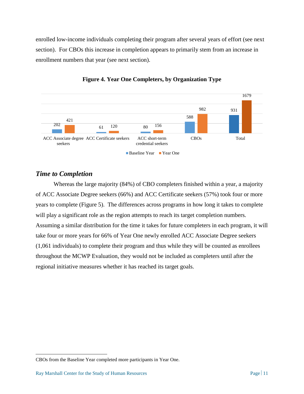<span id="page-18-0"></span>enrolled low-income individuals completing their program after several years of effort (see next section). For CBOs this increase in completion appears to primarily stem from an increase in enrollment numbers that year (see next section).



#### **Figure 4. Year One Completers, by Organization Type**

#### *Time to Completion*

Whereas the large majority (84%) of CBO completers finished within a year, a majority of ACC Associate Degree seekers (66%) and ACC Certificate seekers (57%) took four or more years to complete (Figure 5). The differences across programs in how long it takes to complete will play a significant role as the region attempts to reach its target completion numbers. Assuming a similar distribution for the time it takes for future completers in each program, it will take four or more years for 66% of Year One newly enrolled ACC Associate Degree seekers (1,061 individuals) to complete their program and thus while they will be counted as enrollees throughout the MCWP Evaluation, they would not be included as completers until after the regional initiative measures whether it has reached its target goals.

 $\overline{a}$ 

CBOs from the Baseline Year completed more participants in Year One.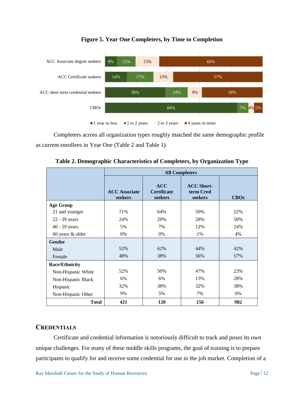

#### **Figure 5. Year One Completers, by Time to Completion**

Completers across all organization types roughly matched the same demographic profile as current enrollees in Year One (Table 2 and Table 1).

<span id="page-19-0"></span>

|                       | <b>All Completers</b>           |                                             |                                           |      |
|-----------------------|---------------------------------|---------------------------------------------|-------------------------------------------|------|
|                       | <b>ACC</b> Associate<br>seekers | <b>ACC</b><br><b>Certificate</b><br>seekers | <b>ACC Short-</b><br>term Cred<br>seekers | CBOs |
| <b>Age Group</b>      |                                 |                                             |                                           |      |
| 21 and younger        | 71%                             | 64%                                         | 59%                                       | 22%  |
| 22 - 39 years         | 24%                             | 29%                                         | 28%                                       | 50%  |
| 40 - 59 years         | 5%                              | 7%                                          | 12%                                       | 24%  |
| 60 years & older      | 0%                              | 0%                                          | 1%                                        | 4%   |
| <b>Gender</b>         |                                 |                                             |                                           |      |
| Male                  | 52%                             | 62%                                         | 44%                                       | 42%  |
| Female                | 48%                             | 38%                                         | 56%                                       | 57%  |
| <b>Race/Ethnicity</b> |                                 |                                             |                                           |      |
| Non-Hispanic White    | 52%                             | 50%                                         | 47%                                       | 23%  |
| Non-Hispanic Black    | 6%                              | 6%                                          | 13%                                       | 28%  |
| Hispanic              | 32%                             | 38%                                         | 32%                                       | 38%  |
| Non-Hispanic Other    | 9%                              | 5%                                          | 7%                                        | 6%   |
| <b>Total</b>          | 421                             | 120                                         | 156                                       | 982  |

**Table 2. Demographic Characteristics of Completers, by Organization Type**

#### **CREDENTIALS**

Certificate and credential information is notoriously difficult to track and poses its own unique challenges. For many of these middle skills programs, the goal of training is to prepare participants to qualify for and receive some credential for use in the job market. Completion of a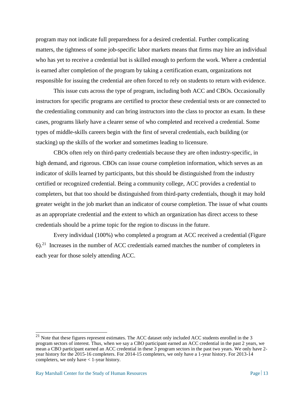<span id="page-20-0"></span>program may not indicate full preparedness for a desired credential. Further complicating matters, the tightness of some job-specific labor markets means that firms may hire an individual who has yet to receive a credential but is skilled enough to perform the work. Where a credential is earned after completion of the program by taking a certification exam, organizations not responsible for issuing the credential are often forced to rely on students to return with evidence.

This issue cuts across the type of program, including both ACC and CBOs. Occasionally instructors for specific programs are certified to proctor these credential tests or are connected to the credentialing community and can bring instructors into the class to proctor an exam. In these cases, programs likely have a clearer sense of who completed and received a credential. Some types of middle-skills careers begin with the first of several credentials, each building (or stacking) up the skills of the worker and sometimes leading to licensure.

CBOs often rely on third-party credentials because they are often industry-specific, in high demand, and rigorous. CBOs can issue course completion information, which serves as an indicator of skills learned by participants, but this should be distinguished from the industry certified or recognized credential. Being a community college, ACC provides a credential to completers, but that too should be distinguished from third-party credentials, though it may hold greater weight in the job market than an indicator of course completion. The issue of what counts as an appropriate credential and the extent to which an organization has direct access to these credentials should be a prime topic for the region to discuss in the future.

Every individual (100%) who completed a program at ACC received a credential (Figure  $6$ <sup>21</sup> Increases in the number of ACC credentials earned matches the number of completers in each year for those solely attending ACC.

 $21$  Note that these figures represent estimates. The ACC dataset only included ACC students enrolled in the 3 program sectors of interest. Thus, when we say a CBO participant earned an ACC credential in the past 2 years, we mean a CBO participant earned an ACC credential in these 3 program sectors in the past two years. We only have 2 year history for the 2015-16 completers. For 2014-15 completers, we only have a 1-year history. For 2013-14 completers, we only have  $\lt 1$ -year history.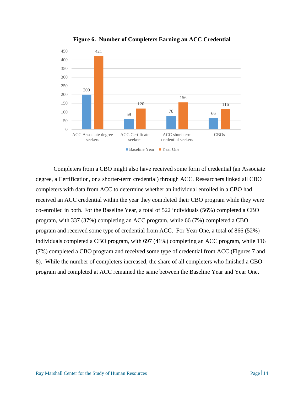<span id="page-21-0"></span>

**Figure 6. Number of Completers Earning an ACC Credential**

Completers from a CBO might also have received some form of credential (an Associate degree, a Certification, or a shorter-term credential) through ACC. Researchers linked all CBO completers with data from ACC to determine whether an individual enrolled in a CBO had received an ACC credential within the year they completed their CBO program while they were co-enrolled in both. For the Baseline Year, a total of 522 individuals (56%) completed a CBO program, with 337 (37%) completing an ACC program, while 66 (7%) completed a CBO program and received some type of credential from ACC. For Year One, a total of 866 (52%) individuals completed a CBO program, with 697 (41%) completing an ACC program, while 116 (7%) completed a CBO program and received some type of credential from ACC (Figures 7 and 8). While the number of completers increased, the share of all completers who finished a CBO program and completed at ACC remained the same between the Baseline Year and Year One.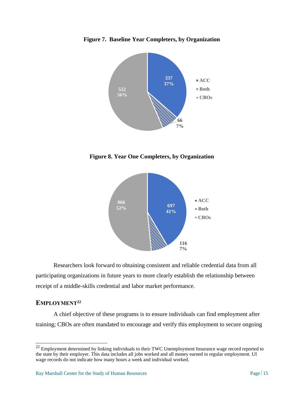



<span id="page-22-0"></span>**Figure 8. Year One Completers, by Organization**



Researchers look forward to obtaining consistent and reliable credential data from all participating organizations in future years to more clearly establish the relationship between receipt of a middle-skills credential and labor market performance.

## **EMPLOYMENT<sup>22</sup>**

 $\overline{\phantom{a}}$ 

A chief objective of these programs is to ensure individuals can find employment after training; CBOs are often mandated to encourage and verify this employment to secure ongoing

 $22$  Employment determined by linking individuals to their TWC Unemployment Insurance wage record reported to the state by their employer. This data includes all jobs worked and all money earned in regular employment. UI wage records do not indicate how many hours a week and individual worked.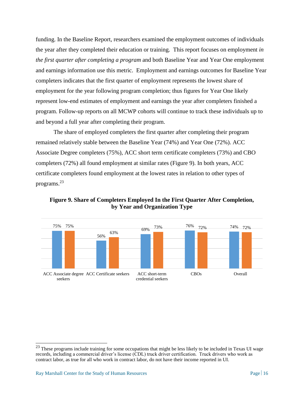funding. In the Baseline Report, researchers examined the employment outcomes of individuals the year after they completed their education or training. This report focuses on employment *in the first quarter after completing a program* and both Baseline Year and Year One employment and earnings information use this metric. Employment and earnings outcomes for Baseline Year completers indicates that the first quarter of employment represents the lowest share of employment for the year following program completion; thus figures for Year One likely represent low-end estimates of employment and earnings the year after completers finished a program. Follow-up reports on all MCWP cohorts will continue to track these individuals up to and beyond a full year after completing their program.

The share of employed completers the first quarter after completing their program remained relatively stable between the Baseline Year (74%) and Year One (72%). ACC Associate Degree completers (75%), ACC short term certificate completers (73%) and CBO completers (72%) all found employment at similar rates (Figure 9). In both years, ACC certificate completers found employment at the lowest rates in relation to other types of programs.<sup>23</sup>

<span id="page-23-0"></span>**Figure 9. Share of Completers Employed In the First Quarter After Completion, by Year and Organization Type**



 $^{23}$  These programs include training for some occupations that might be less likely to be included in Texas UI wage records, including a commercial driver's license (CDL) truck driver certification. Truck drivers who work as contract labor, as true for all who work in contract labor, do not have their income reported in UI.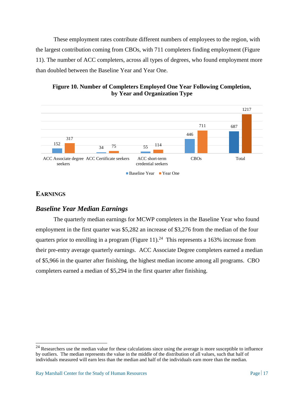<span id="page-24-1"></span>These employment rates contribute different numbers of employees to the region, with the largest contribution coming from CBOs, with 711 completers finding employment (Figure 11). The number of ACC completers, across all types of degrees, who found employment more than doubled between the Baseline Year and Year One.

#### <span id="page-24-0"></span>**Figure 10. Number of Completers Employed One Year Following Completion, by Year and Organization Type**



# **EARNINGS**

 $\overline{\phantom{a}}$ 

# *Baseline Year Median Earnings*

The quarterly median earnings for MCWP completers in the Baseline Year who found employment in the first quarter was \$5,282 an increase of \$3,276 from the median of the four quarters prior to enrolling in a program (Figure 11).<sup>24</sup> This represents a 163% increase from their pre-entry average quarterly earnings. ACC Associate Degree completers earned a median of \$5,966 in the quarter after finishing, the highest median income among all programs. CBO completers earned a median of \$5,294 in the first quarter after finishing.

 $^{24}$  Researchers use the median value for these calculations since using the average is more susceptible to influence by outliers. The median represents the value in the middle of the distribution of all values, such that half of individuals measured will earn less than the median and half of the individuals earn more than the median.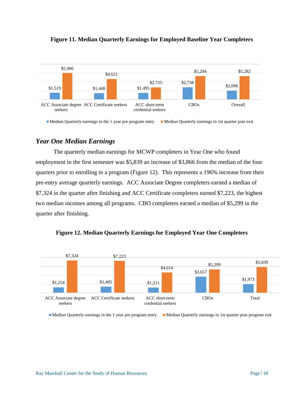



Median Quarterly earnings in the 1 year pre program entry Median Quarterly earnings in 1st quarter post exit

#### *Year One Median Earnings*

The quarterly median earnings for MCWP completers in Year One who found employment in the first semester was \$5,839 an increase of \$3,866 from the median of the four quarters prior to enrolling in a program (Figure 12). This represents a 196% increase from their pre-entry average quarterly earnings. ACC Associate Degree completers earned a median of \$7,324 in the quarter after finishing and ACC Certificate completers earned \$7,223, the highest two median incomes among all programs. CBO completers earned a median of \$5,299 in the quarter after finishing.



<span id="page-25-0"></span>**Figure 12. Median Quarterly Earnings for Employed Year One Completers**

Median Quarterly earnings in the 1 year pre program entry Median Quarterly earnings in 1st quarter post program exit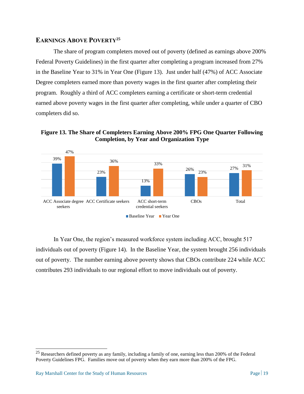#### **EARNINGS ABOVE POVERTY<sup>25</sup>**

The share of program completers moved out of poverty (defined as earnings above 200% Federal Poverty Guidelines) in the first quarter after completing a program increased from 27% in the Baseline Year to 31% in Year One (Figure 13). Just under half (47%) of ACC Associate Degree completers earned more than poverty wages in the first quarter after completing their program. Roughly a third of ACC completers earning a certificate or short-term credential earned above poverty wages in the first quarter after completing, while under a quarter of CBO completers did so.

<span id="page-26-0"></span>**Figure 13. The Share of Completers Earning Above 200% FPG One Quarter Following Completion, by Year and Organization Type**



In Year One, the region's measured workforce system including ACC, brought 517 individuals out of poverty (Figure 14). In the Baseline Year, the system brought 256 individuals out of poverty. The number earning above poverty shows that CBOs contribute 224 while ACC contributes 293 individuals to our regional effort to move individuals out of poverty.

 $\overline{\phantom{a}}$  $^{25}$  Researchers defined poverty as any family, including a family of one, earning less than 200% of the Federal Poverty Guidelines FPG. Families move out of poverty when they earn more than 200% of the FPG.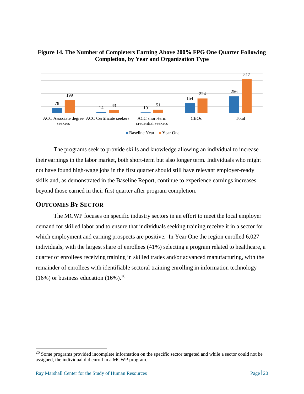

#### <span id="page-27-1"></span><span id="page-27-0"></span>**Figure 14. The Number of Completers Earning Above 200% FPG One Quarter Following Completion, by Year and Organization Type**

The programs seek to provide skills and knowledge allowing an individual to increase their earnings in the labor market, both short-term but also longer term. Individuals who might not have found high-wage jobs in the first quarter should still have relevant employer-ready skills and, as demonstrated in the Baseline Report, continue to experience earnings increases beyond those earned in their first quarter after program completion.

## **OUTCOMES BY SECTOR**

The MCWP focuses on specific industry sectors in an effort to meet the local employer demand for skilled labor and to ensure that individuals seeking training receive it in a sector for which employment and earning prospects are positive. In Year One the region enrolled 6,027 individuals, with the largest share of enrollees (41%) selecting a program related to healthcare, a quarter of enrollees receiving training in skilled trades and/or advanced manufacturing, with the remainder of enrollees with identifiable sectoral training enrolling in information technology  $(16\%)$  or business education  $(16\%)$ <sup>26</sup>

 $^{26}$  Some programs provided incomplete information on the specific sector targeted and while a sector could not be assigned, the individual did enroll in a MCWP program.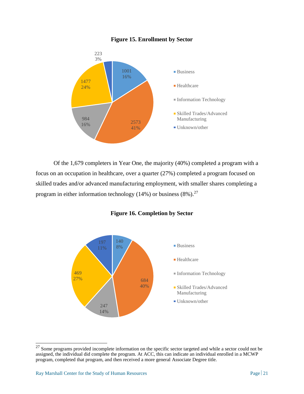

#### **Figure 15. Enrollment by Sector**

Of the 1,679 completers in Year One, the majority (40%) completed a program with a focus on an occupation in healthcare, over a quarter (27%) completed a program focused on skilled trades and/or advanced manufacturing employment, with smaller shares completing a program in either information technology (14%) or business  $(8\%)$ .<sup>27</sup>

<span id="page-28-0"></span>

#### **Figure 16. Completion by Sector**

 $27$  Some programs provided incomplete information on the specific sector targeted and while a sector could not be assigned, the individual did complete the program. At ACC, this can indicate an individual enrolled in a MCWP program, completed that program, and then received a more general Associate Degree title.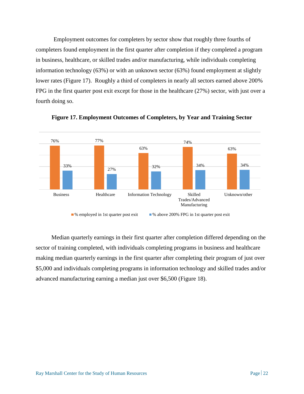<span id="page-29-1"></span>Employment outcomes for completers by sector show that roughly three fourths of completers found employment in the first quarter after completion if they completed a program in business, healthcare, or skilled trades and/or manufacturing, while individuals completing information technology (63%) or with an unknown sector (63%) found employment at slightly lower rates (Figure 17). Roughly a third of completers in nearly all sectors earned above 200% FPG in the first quarter post exit except for those in the healthcare (27%) sector, with just over a fourth doing so.



<span id="page-29-0"></span>**Figure 17. Employment Outcomes of Completers, by Year and Training Sector**

Median quarterly earnings in their first quarter after completion differed depending on the sector of training completed, with individuals completing programs in business and healthcare making median quarterly earnings in the first quarter after completing their program of just over \$5,000 and individuals completing programs in information technology and skilled trades and/or advanced manufacturing earning a median just over \$6,500 (Figure 18).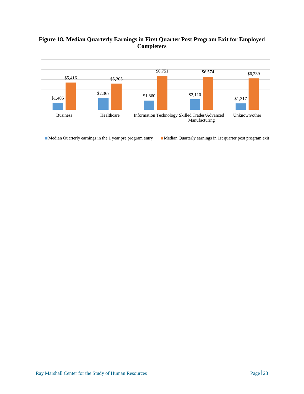## **Figure 18. Median Quarterly Earnings in First Quarter Post Program Exit for Employed Completers**



Median Quarterly earnings in the 1 year pre program entry Median Quarterly earnings in 1st quarter post program exit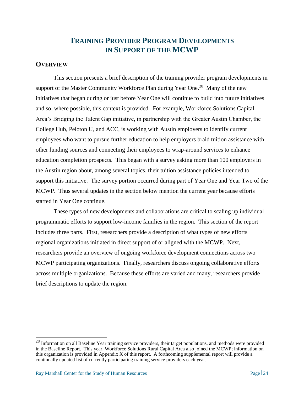# **TRAINING PROVIDER PROGRAM DEVELOPMENTS IN SUPPORT OF THE MCWP**

#### **OVERVIEW**

This section presents a brief description of the training provider program developments in support of the Master Community Workforce Plan during Year One.<sup>28</sup> Many of the new initiatives that began during or just before Year One will continue to build into future initiatives and so, where possible, this context is provided. For example, Workforce Solutions Capital Area's Bridging the Talent Gap initiative, in partnership with the Greater Austin Chamber, the College Hub, Peloton U, and ACC, is working with Austin employers to identify current employees who want to pursue further education to help employers braid tuition assistance with other funding sources and connecting their employees to wrap-around services to enhance education completion prospects. This began with a survey asking more than 100 employers in the Austin region about, among several topics, their tuition assistance policies intended to support this initiative. The survey portion occurred during part of Year One and Year Two of the MCWP. Thus several updates in the section below mention the current year because efforts started in Year One continue.

These types of new developments and collaborations are critical to scaling up individual programmatic efforts to support low-income families in the region. This section of the report includes three parts. First, researchers provide a description of what types of new efforts regional organizations initiated in direct support of or aligned with the MCWP. Next, researchers provide an overview of ongoing workforce development connections across two MCWP participating organizations. Finally, researchers discuss ongoing collaborative efforts across multiple organizations. Because these efforts are varied and many, researchers provide brief descriptions to update the region.

 $28$  Information on all Baseline Year training service providers, their target populations, and methods were provided in the Baseline Report. This year, Workforce Solutions Rural Capital Area also joined the MCWP; information on this organization is provided in Appendix X of this report. A forthcoming supplemental report will provide a continually updated list of currently participating training service providers each year.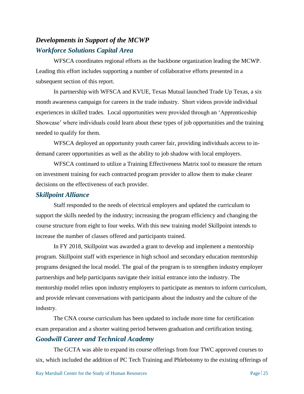# *Developments in Support of the MCWP Workforce Solutions Capital Area*

WFSCA coordinates regional efforts as the backbone organization leading the MCWP. Leading this effort includes supporting a number of collaborative efforts presented in a subsequent section of this report.

In partnership with WFSCA and KVUE, Texas Mutual launched Trade Up Texas, a six month awareness campaign for careers in the trade industry. Short videos provide individual experiences in skilled trades. Local opportunities were provided through an 'Apprenticeship Showcase' where individuals could learn about these types of job opportunities and the training needed to qualify for them.

WFSCA deployed an opportunity youth career fair, providing individuals access to indemand career opportunities as well as the ability to job shadow with local employers.

WFSCA continued to utilize a Training Effectiveness Matrix tool to measure the return on investment training for each contracted program provider to allow them to make clearer decisions on the effectiveness of each provider.

#### *Skillpoint Alliance*

Staff responded to the needs of electrical employers and updated the curriculum to support the skills needed by the industry; increasing the program efficiency and changing the course structure from eight to four weeks. With this new training model Skillpoint intends to increase the number of classes offered and participants trained.

In FY 2018, Skillpoint was awarded a grant to develop and implement a mentorship program. Skillpoint staff with experience in high school and secondary education mentorship programs designed the local model. The goal of the program is to strengthen industry employer partnerships and help participants navigate their initial entrance into the industry. The mentorship model relies upon industry employers to participate as mentors to inform curriculum, and provide relevant conversations with participants about the industry and the culture of the industry.

The CNA course curriculum has been updated to include more time for certification exam preparation and a shorter waiting period between graduation and certification testing.

#### *Goodwill Career and Technical Academy*

The GCTA was able to expand its course offerings from four TWC approved courses to six, which included the addition of PC Tech Training and Phlebotomy to the existing offerings of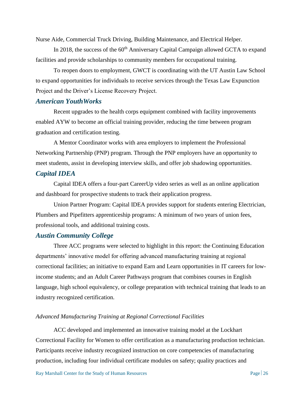Nurse Aide, Commercial Truck Driving, Building Maintenance, and Electrical Helper.

In 2018, the success of the  $60<sup>th</sup>$  Anniversary Capital Campaign allowed GCTA to expand facilities and provide scholarships to community members for occupational training.

To reopen doors to employment, GWCT is coordinating with the UT Austin Law School to expand opportunities for individuals to receive services through the Texas Law Expunction Project and the Driver's License Recovery Project.

#### *American YouthWorks*

Recent upgrades to the health corps equipment combined with facility improvements enabled AYW to become an official training provider, reducing the time between program graduation and certification testing.

A Mentor Coordinator works with area employers to implement the Professional Networking Partnership (PNP) program. Through the PNP employers have an opportunity to meet students, assist in developing interview skills, and offer job shadowing opportunities.

#### *Capital IDEA*

Capital IDEA offers a four-part CareerUp video series as well as an online application and dashboard for prospective students to track their application progress.

Union Partner Program: Capital IDEA provides support for students entering Electrician, Plumbers and Pipefitters apprenticeship programs: A minimum of two years of union fees, professional tools, and additional training costs.

#### *Austin Community College*

Three ACC programs were selected to highlight in this report: the Continuing Education departments' innovative model for offering advanced manufacturing training at regional correctional facilities; an initiative to expand Earn and Learn opportunities in IT careers for lowincome students; and an Adult Career Pathways program that combines courses in English language, high school equivalency, or college preparation with technical training that leads to an industry recognized certification.

#### *Advanced Manufacturing Training at Regional Correctional Facilities*

ACC developed and implemented an innovative training model at the Lockhart Correctional Facility for Women to offer certification as a manufacturing production technician. Participants receive industry recognized instruction on core competencies of manufacturing production, including four individual certificate modules on safety; quality practices and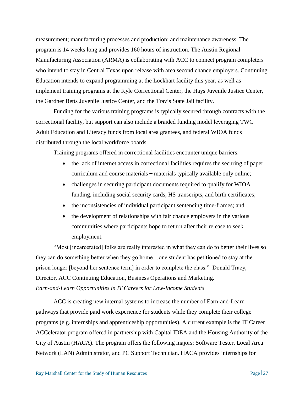measurement; manufacturing processes and production; and maintenance awareness. The program is 14 weeks long and provides 160 hours of instruction. The Austin Regional Manufacturing Association (ARMA) is collaborating with ACC to connect program completers who intend to stay in Central Texas upon release with area second chance employers. Continuing Education intends to expand programming at the Lockhart facility this year, as well as implement training programs at the Kyle Correctional Center, the Hays Juvenile Justice Center, the Gardner Betts Juvenile Justice Center, and the Travis State Jail facility.

Funding for the various training programs is typically secured through contracts with the correctional facility, but support can also include a braided funding model leveraging TWC Adult Education and Literacy funds from local area grantees, and federal WIOA funds distributed through the local workforce boards.

Training programs offered in correctional facilities encounter unique barriers:

- the lack of internet access in correctional facilities requires the securing of paper curriculum and course materials ̶ materials typically available only online;
- challenges in securing participant documents required to qualify for WIOA funding, including social security cards, HS transcripts, and birth certificates;
- the inconsistencies of individual participant sentencing time-frames; and
- the development of relationships with fair chance employers in the various communities where participants hope to return after their release to seek employment.

"Most [incarcerated] folks are really interested in what they can do to better their lives so they can do something better when they go home…one student has petitioned to stay at the prison longer [beyond her sentence term] in order to complete the class." Donald Tracy, Director, ACC Continuing Education, Business Operations and Marketing. *Earn-and-Learn Opportunities in IT Careers for Low-Income Students*

ACC is creating new internal systems to increase the number of Earn-and-Learn pathways that provide paid work experience for students while they complete their college programs (e.g. internships and apprenticeship opportunities). A current example is the IT Career ACCelerator program offered in partnership with Capital IDEA and the Housing Authority of the City of Austin (HACA). The program offers the following majors: Software Tester, Local Area Network (LAN) Administrator, and PC Support Technician. HACA provides internships for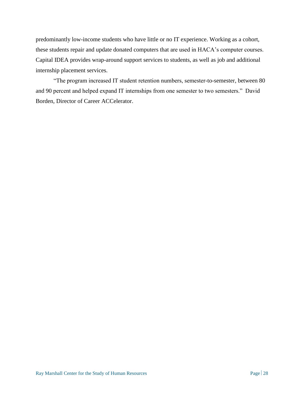predominantly low-income students who have little or no IT experience. Working as a cohort, these students repair and update donated computers that are used in HACA's computer courses. Capital IDEA provides wrap-around support services to students, as well as job and additional internship placement services.

"The program increased IT student retention numbers, semester-to-semester, between 80 and 90 percent and helped expand IT internships from one semester to two semesters." David Borden, Director of Career ACCelerator.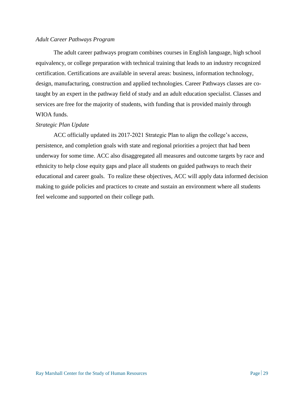#### *Adult Career Pathways Program*

The adult career pathways program combines courses in English language, high school equivalency, or college preparation with technical training that leads to an industry recognized certification. Certifications are available in several areas: business, information technology, design, manufacturing, construction and applied technologies. Career Pathways classes are cotaught by an expert in the pathway field of study and an adult education specialist. Classes and services are free for the majority of students, with funding that is provided mainly through WIOA funds.

#### *Strategic Plan Update*

ACC officially updated its 2017-2021 Strategic Plan to align the college's access, persistence, and completion goals with state and regional priorities a project that had been underway for some time. ACC also disaggregated all measures and outcome targets by race and ethnicity to help close equity gaps and place all students on guided pathways to reach their educational and career goals. To realize these objectives, ACC will apply data informed decision making to guide policies and practices to create and sustain an environment where all students feel welcome and supported on their college path.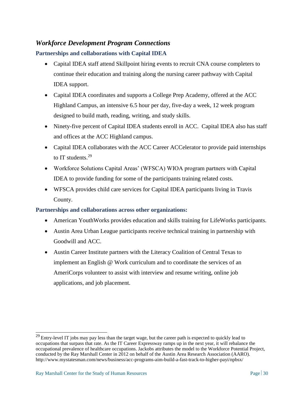# *Workforce Development Program Connections*

#### **Partnerships and collaborations with Capital IDEA**

- Capital IDEA staff attend Skillpoint hiring events to recruit CNA course completers to continue their education and training along the nursing career pathway with Capital IDEA support.
- Capital IDEA coordinates and supports a College Prep Academy, offered at the ACC Highland Campus, an intensive 6.5 hour per day, five-day a week, 12 week program designed to build math, reading, writing, and study skills.
- Ninety-five percent of Capital IDEA students enroll in ACC. Capital IDEA also has staff and offices at the ACC Highland campus.
- Capital IDEA collaborates with the ACC Career ACCelerator to provide paid internships to IT students.<sup>29</sup>
- Workforce Solutions Capital Areas' (WFSCA) WIOA program partners with Capital IDEA to provide funding for some of the participants training related costs.
- WFSCA provides child care services for Capital IDEA participants living in Travis County.

#### **Partnerships and collaborations across other organizations:**

- American YouthWorks provides education and skills training for LifeWorks participants.
- Austin Area Urban League participants receive technical training in partnership with Goodwill and ACC.
- Austin Career Institute partners with the Literacy Coalition of Central Texas to implement an English @ Work curriculum and to coordinate the services of an AmeriCorps volunteer to assist with interview and resume writing, online job applications, and job placement.

 $^{29}$  Entry-level IT jobs may pay less than the target wage, but the career path is expected to quickly lead to occupations that surpass that rate. As the IT Career Expressway ramps up in the next year, it will rebalance the occupational prevalence of healthcare occupations. Jackobs attributes the model to the Workforce Potential Project, conducted by the Ray Marshall Center in 2012 on behalf of the Austin Area Research Association (AARO). <http://www.mystatesman.com/news/business/acc-programs-aim-build-a-fast-track-to-higher-payi/npbsx/>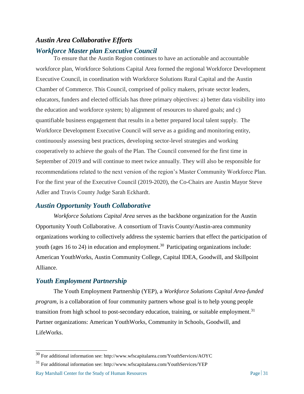## *Austin Area Collaborative Efforts*

### *Workforce Master plan Executive Council*

To ensure that the Austin Region continues to have an actionable and accountable workforce plan, Workforce Solutions Capital Area formed the regional Workforce Development Executive Council, in coordination with Workforce Solutions Rural Capital and the Austin Chamber of Commerce. This Council, comprised of policy makers, private sector leaders, educators, funders and elected officials has three primary objectives: a) better data visibility into the education and workforce system; b) alignment of resources to shared goals; and c) quantifiable business engagement that results in a better prepared local talent supply. The Workforce Development Executive Council will serve as a guiding and monitoring entity, continuously assessing best practices, developing sector-level strategies and working cooperatively to achieve the goals of the Plan. The Council convened for the first time in September of 2019 and will continue to meet twice annually. They will also be responsible for recommendations related to the next version of the region's Master Community Workforce Plan. For the first year of the Executive Council (2019-2020), the Co-Chairs are Austin Mayor Steve Adler and Travis County Judge Sarah Eckhardt.

#### *Austin Opportunity Youth Collaborative*

*Workforce Solutions Capital Area* serves as the backbone organization for the Austin Opportunity Youth Collaborative. A consortium of Travis County/Austin-area community organizations working to collectively address the systemic barriers that effect the participation of youth (ages 16 to 24) in education and employment.<sup>30</sup> Participating organizations include: American YouthWorks, Austin Community College, Capital IDEA, Goodwill, and Skillpoint Alliance.

#### *Youth Employment Partnership*

 $\overline{\phantom{a}}$ 

The Youth Employment Partnership (YEP), a *Workforce Solutions Capital Area-funded program*, is a collaboration of four community partners whose goal is to help young people transition from high school to post-secondary education, training, or suitable employment.<sup>31</sup> Partner organizations: American YouthWorks, [Community in Schools,](http://ciscentraltexas.org/) [Goodwill,](http://www.austingoodwill.org/) and [LifeWorks.](http://www.lifeworksaustin.org/)

Ray Marshall Center for the Study of Human Resources Page 31 <sup>31</sup> For additional information see:<http://www.wfscapitalarea.com/YouthServices/YEP>

 $30$  For additional information see:<http://www.wfscapitalarea.com/YouthServices/AOYC>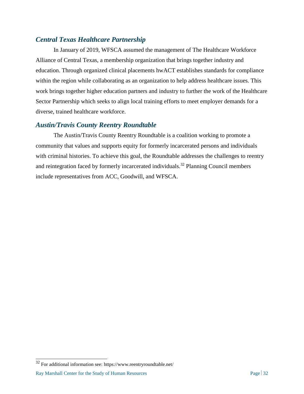# *Central Texas Healthcare Partnership*

In January of 2019, WFSCA assumed the management of The Healthcare Workforce Alliance of Central Texas, a membership organization that brings together industry and education. Through organized clinical placements hwACT establishes standards for compliance within the region while collaborating as an organization to help address healthcare issues. This work brings together higher education partners and industry to further the work of the Healthcare Sector Partnership which seeks to align local training efforts to meet employer demands for a diverse, trained healthcare workforce.

## *Austin/Travis County Reentry Roundtable*

The Austin/Travis County Reentry Roundtable is a coalition working to promote a community that values and supports equity for formerly incarcerated persons and individuals with criminal histories. To achieve this goal, the Roundtable addresses the challenges to reentry and reintegration faced by formerly incarcerated individuals.<sup>32</sup> Planning Council members include representatives from ACC, Goodwill, and WFSCA.

 $32$  For additional information see:<https://www.reentryroundtable.net/>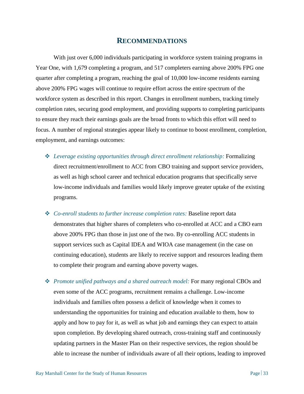# **RECOMMENDATIONS**

With just over 6,000 individuals participating in workforce system training programs in Year One, with 1,679 completing a program, and 517 completers earning above 200% FPG one quarter after completing a program, reaching the goal of 10,000 low-income residents earning above 200% FPG wages will continue to require effort across the entire spectrum of the workforce system as described in this report. Changes in enrollment numbers, tracking timely completion rates, securing good employment, and providing supports to completing participants to ensure they reach their earnings goals are the broad fronts to which this effort will need to focus. A number of regional strategies appear likely to continue to boost enrollment, completion, employment, and earnings outcomes:

- ❖ *Leverage existing opportunities through direct enrollment relationship:* Formalizing direct recruitment/enrollment to ACC from CBO training and support service providers, as well as high school career and technical education programs that specifically serve low-income individuals and families would likely improve greater uptake of the existing programs.
- ❖ *Co-enroll students to further increase completion rates:* Baseline report data demonstrates that higher shares of completers who co-enrolled at ACC and a CBO earn above 200% FPG than those in just one of the two. By co-enrolling ACC students in support services such as Capital IDEA and WIOA case management (in the case on continuing education), students are likely to receive support and resources leading them to complete their program and earning above poverty wages.
- ❖ *Promote unified pathways and a shared outreach model:* For many regional CBOs and even some of the ACC programs, recruitment remains a challenge. Low-income individuals and families often possess a deficit of knowledge when it comes to understanding the opportunities for training and education available to them, how to apply and how to pay for it, as well as what job and earnings they can expect to attain upon completion. By developing shared outreach, cross-training staff and continuously updating partners in the Master Plan on their respective services, the region should be able to increase the number of individuals aware of all their options, leading to improved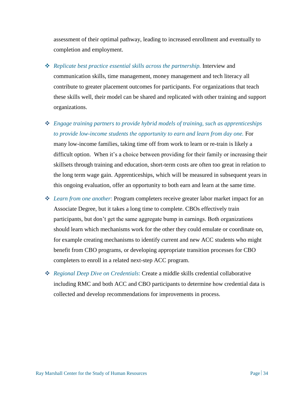assessment of their optimal pathway, leading to increased enrollment and eventually to completion and employment.

- ❖ *Replicate best practice essential skills across the partnership.* Interview and communication skills, time management, money management and tech literacy all contribute to greater placement outcomes for participants. For organizations that teach these skills well, their model can be shared and replicated with other training and support organizations.
- ❖ *Engage training partners to provide hybrid models of training, such as apprenticeships*  to provide low-income students the opportunity to earn and learn from day one. For many low-income families, taking time off from work to learn or re-train is likely a difficult option. When it's a choice between providing for their family or increasing their skillsets through training and education, short-term costs are often too great in relation to the long term wage gain. Apprenticeships, which will be measured in subsequent years in this ongoing evaluation, offer an opportunity to both earn and learn at the same time.
- ❖ *Learn from one another*: Program completers receive greater labor market impact for an Associate Degree, but it takes a long time to complete. CBOs effectively train participants, but don't get the same aggregate bump in earnings. Both organizations should learn which mechanisms work for the other they could emulate or coordinate on, for example creating mechanisms to identify current and new ACC students who might benefit from CBO programs, or developing appropriate transition processes for CBO completers to enroll in a related next-step ACC program.
- ❖ *Regional Deep Dive on Credentials*: Create a middle skills credential collaborative including RMC and both ACC and CBO participants to determine how credential data is collected and develop recommendations for improvements in process.